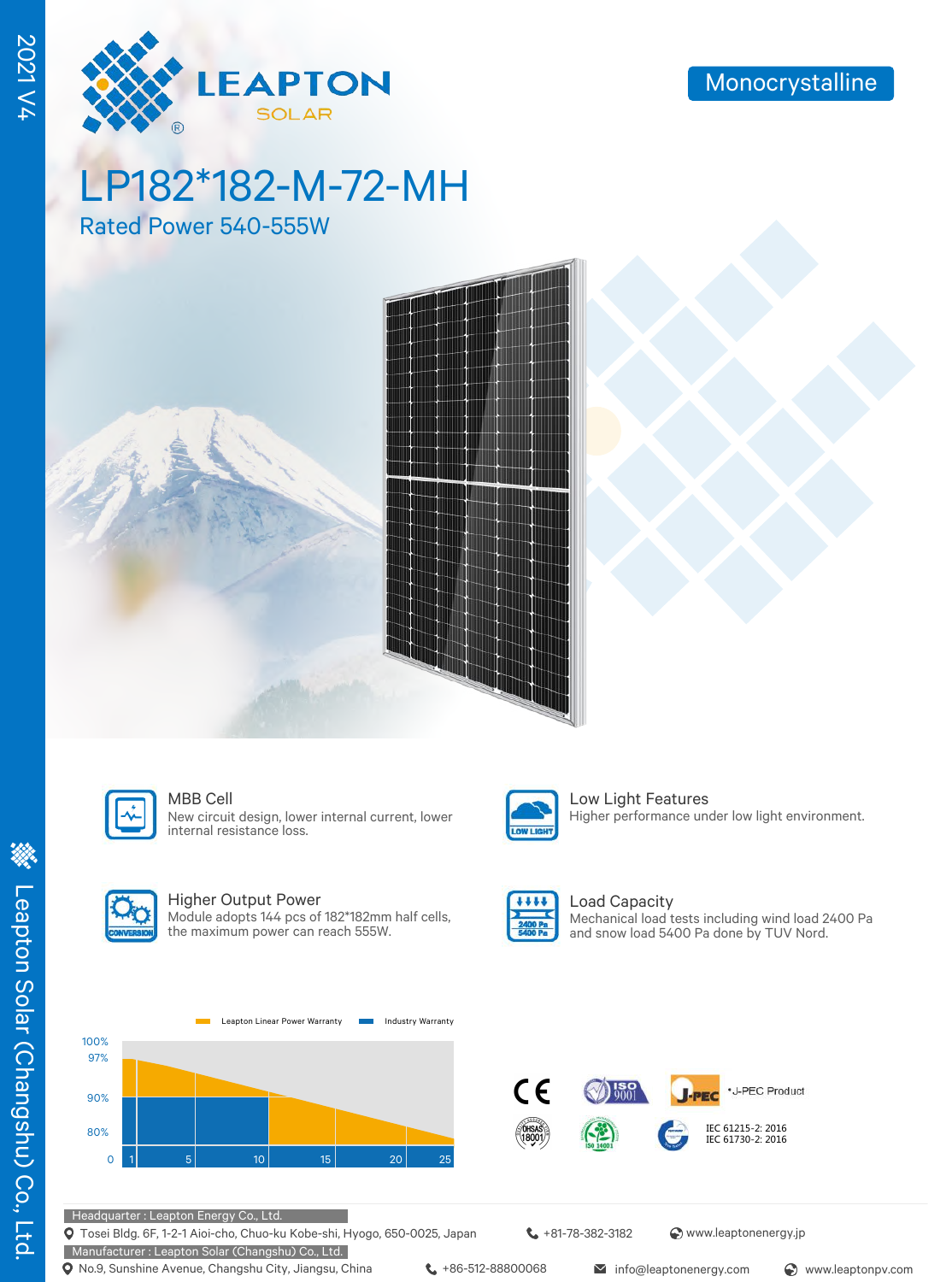

# LP182\*182-M-72-MH

Rated Power 540-555W





#### MBB Cell **Low Light Features**

New circuit design, lower internal current, lower internal resistance loss.



#### Higher Output Power

Module adopts 144 pcs of 182\*182mm half cells, the maximum power can reach 555W.



OW LIGHT

#### Load Capacity Mechanical load tests including wind load 2400 Pa and snow load 5400 Pa done by TUV Nord.

Higher performance under low light environment.





#### Headquarter : Leapton Energy Co., Ltd.

Tosei Bldg. 6F, 1-2-1 Aioi-cho, Chuo-ku Kobe-shi, Hyogo, 650-0025, Japan

Manufacturer : Leapton Solar (Changshu) Co., Ltd. **Q** No.9, Sunshine Avenue, Changshu City, Jiangsu, China  $\leftarrow$  +86-512-88800068 info@leaptonenergy.com  $\odot$  www.leaptonpv.com

+81-78-382-3182 www.leaptonenergy.jp

2021 V4